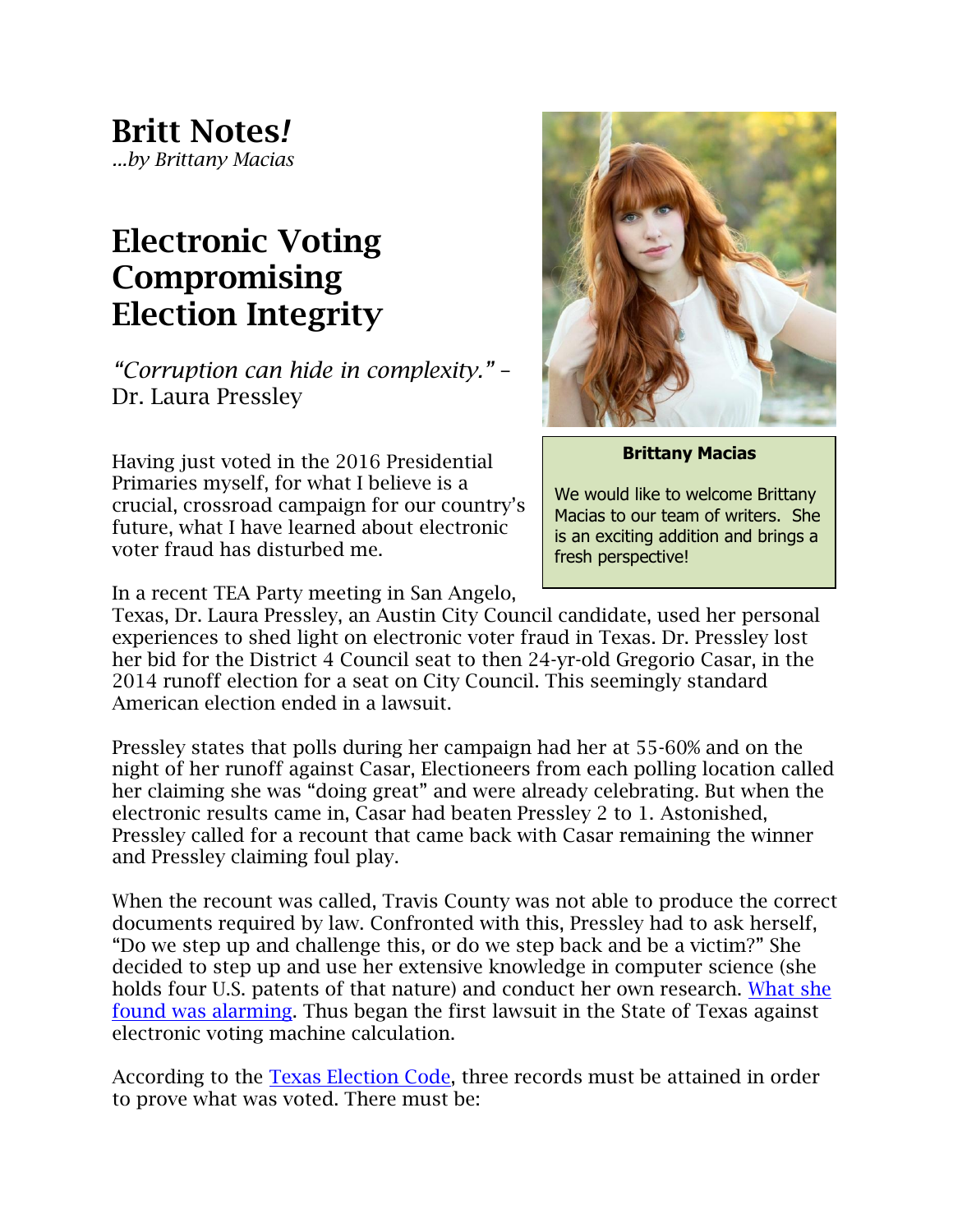## **Electronic Voting Compromising Election Integrity**

*"Corruption can hide in complexity."* – Dr. Laura Pressley

Having just voted in the 2016 Presidential Primaries myself, for what I believe is a crucial, crossroad campaign for our country's future, what I have learned about electronic voter fraud has disturbed me.



**Brittany Macias**

We would like to welcome Brittany Macias to our team of writers. She is an exciting addition and brings a fresh perspective!

In a recent TEA Party meeting in San Angelo,

Texas, Dr. Laura Pressley, an Austin City Council candidate, used her personal experiences to shed light on electronic voter fraud in Texas. Dr. Pressley lost her bid for the District 4 Council seat to then 24-yr-old Gregorio Casar, in the 2014 runoff election for a seat on City Council. This seemingly standard American election ended in a lawsuit.

Pressley states that polls during her campaign had her at 55-60% and on the night of her runoff against Casar, Electioneers from each polling location called her claiming she was "doing great" and were already celebrating. But when the electronic results came in, Casar had beaten Pressley 2 to 1. Astonished, Pressley called for a recount that came back with Casar remaining the winner and Pressley claiming foul play.

When the recount was called, Travis County was not able to produce the correct documents required by law. Confronted with this, Pressley had to ask herself, "Do we step up and challenge this, or do we step back and be a victim?" She decided to step up and use her extensive knowledge in computer science (she holds four U.S. patents of that nature) and conduct her own research. [What she](https://dk-media.s3.amazonaws.com/AA/AU/pressleyforaustin-com/downloads/297073/1Executive_Summary_of_Travis_County_Election_Contest_.pdf)  [found was alarming.](https://dk-media.s3.amazonaws.com/AA/AU/pressleyforaustin-com/downloads/297073/1Executive_Summary_of_Travis_County_Election_Contest_.pdf) Thus began the first lawsuit in the State of Texas against electronic voting machine calculation.

According to the **Texas Election Code**, three records must be attained in order to prove what was voted. There must be: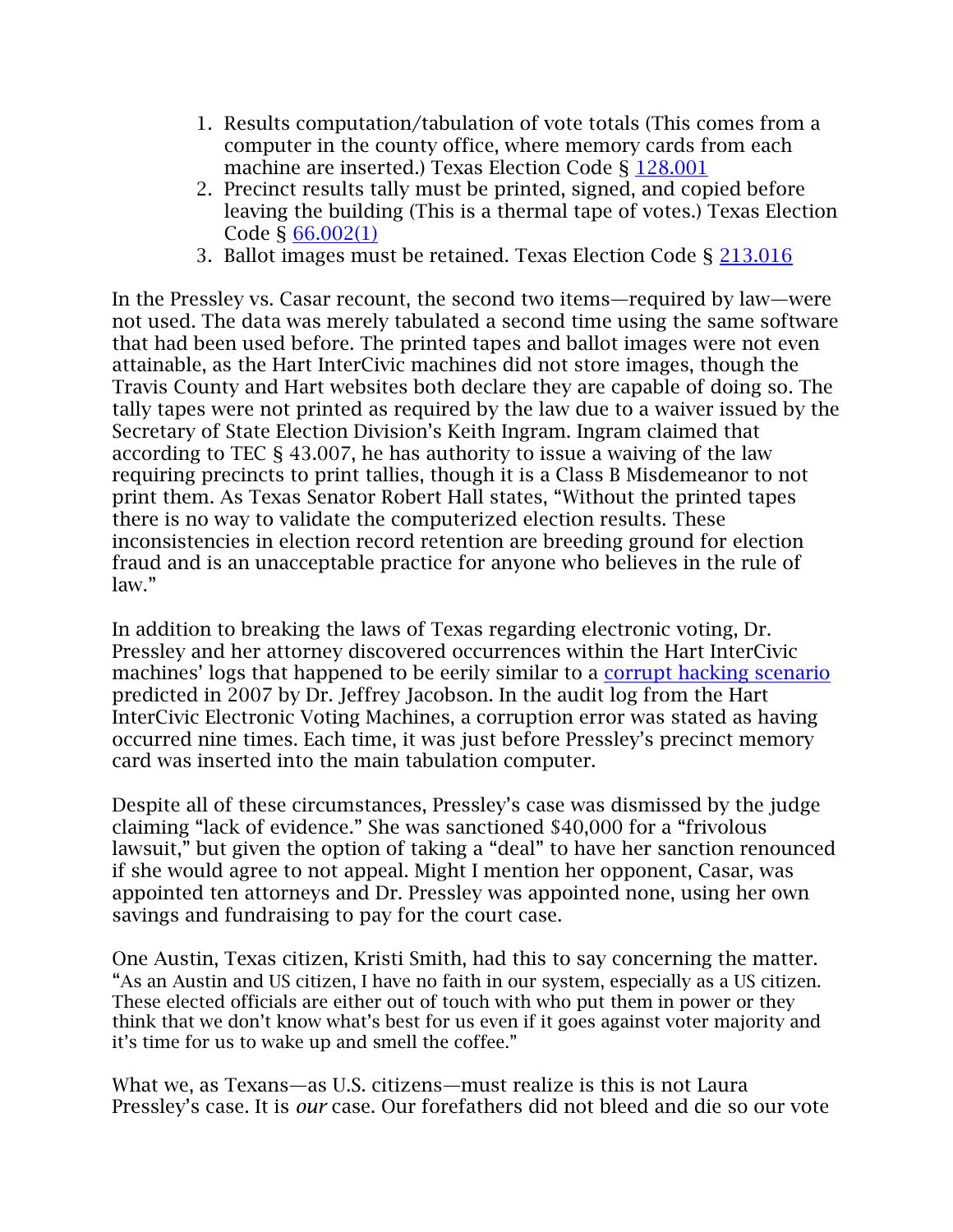- 1. Results computation/tabulation of vote totals (This comes from a computer in the county office, where memory cards from each machine are inserted.) Texas Election Code § [128.001](http://www.statutes.legis.state.tx.us/Docs/SDocs/ELECTIONCODE.pdf)
- 2. Precinct results tally must be printed, signed, and copied before leaving the building (This is a thermal tape of votes.) Texas Election Code § [66.002\(1\)](http://www.statutes.legis.state.tx.us/Docs/EL/pdf/EL.66.pdf)
- 3. Ballot images must be retained. Texas Election Code § [213.016](http://www.statutes.legis.state.tx.us/Docs/EL/pdf/EL.213.pdf)

In the Pressley vs. Casar recount, the second two items—required by law—were not used. The data was merely tabulated a second time using the same software that had been used before. The printed tapes and ballot images were not even attainable, as the Hart InterCivic machines did not store images, though the Travis County and Hart websites both declare they are capable of doing so. The tally tapes were not printed as required by the law due to a waiver issued by the Secretary of State Election Division's Keith Ingram. Ingram claimed that according to TEC § 43.007, he has authority to issue a waiving of the law requiring precincts to print tallies, though it is a Class B Misdemeanor to not print them. As Texas Senator Robert Hall states, "Without the printed tapes there is no way to validate the computerized election results. These inconsistencies in election record retention are breeding ground for election fraud and is an unacceptable practice for anyone who believes in the rule of law."

In addition to breaking the laws of Texas regarding electronic voting, Dr. Pressley and her attorney discovered occurrences within the Hart InterCivic machines' logs that happened to be eerily similar to a [corrupt hacking scenario](https://dk-media.s3.amazonaws.com/AA/AU/pressleyforaustin-com/downloads/297012/MSJ--Exhibit_A___Jacobson_Declaration.pdf) predicted in 2007 by Dr. Jeffrey Jacobson. In the audit log from the Hart InterCivic Electronic Voting Machines, a corruption error was stated as having occurred nine times. Each time, it was just before Pressley's precinct memory card was inserted into the main tabulation computer.

Despite all of these circumstances, Pressley's case was dismissed by the judge claiming "lack of evidence." She was sanctioned \$40,000 for a "frivolous lawsuit," but given the option of taking a "deal" to have her sanction renounced if she would agree to not appeal. Might I mention her opponent, Casar, was appointed ten attorneys and Dr. Pressley was appointed none, using her own savings and fundraising to pay for the court case.

One Austin, Texas citizen, Kristi Smith, had this to say concerning the matter. "As an Austin and US citizen, I have no faith in our system, especially as a US citizen. These elected officials are either out of touch with who put them in power or they think that we don't know what's best for us even if it goes against voter majority and it's time for us to wake up and smell the coffee."

What we, as Texans—as U.S. citizens—must realize is this is not Laura Pressley's case. It is *our* case. Our forefathers did not bleed and die so our vote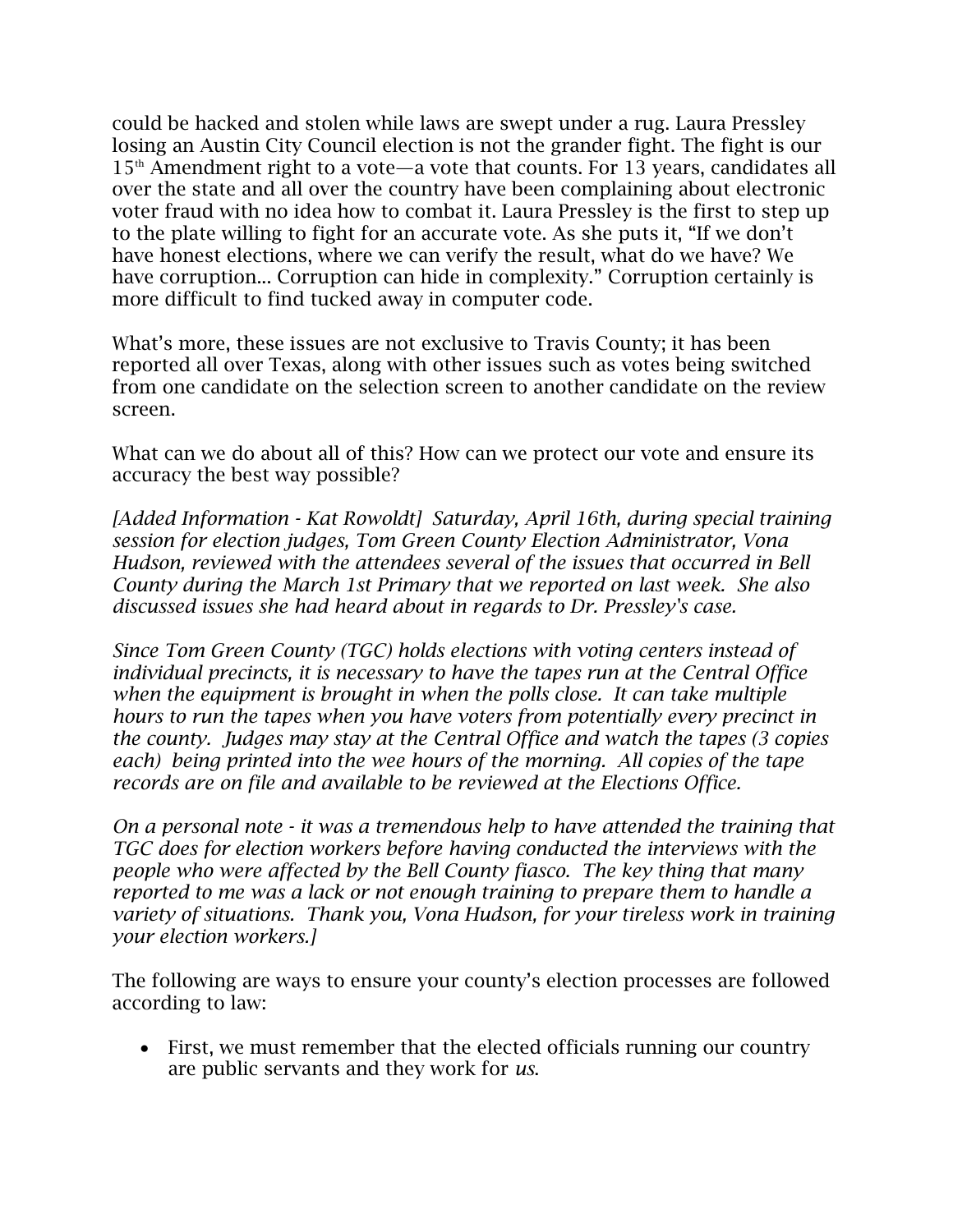could be hacked and stolen while laws are swept under a rug. Laura Pressley losing an Austin City Council election is not the grander fight. The fight is our  $15<sup>th</sup>$  Amendment right to a vote—a vote that counts. For 13 years, candidates all over the state and all over the country have been complaining about electronic voter fraud with no idea how to combat it. Laura Pressley is the first to step up to the plate willing to fight for an accurate vote. As she puts it, "If we don't have honest elections, where we can verify the result, what do we have? We have corruption... Corruption can hide in complexity." Corruption certainly is more difficult to find tucked away in computer code.

What's more, these issues are not exclusive to Travis County; it has been reported all over Texas, along with other issues such as votes being switched from one candidate on the selection screen to another candidate on the review screen.

What can we do about all of this? How can we protect our vote and ensure its accuracy the best way possible?

*[Added Information - Kat Rowoldt] Saturday, April 16th, during special training session for election judges, Tom Green County Election Administrator, Vona Hudson, reviewed with the attendees several of the issues that occurred in Bell County during the March 1st Primary that we reported on last week. She also discussed issues she had heard about in regards to Dr. Pressley's case.* 

*Since Tom Green County (TGC) holds elections with voting centers instead of individual precincts, it is necessary to have the tapes run at the Central Office when the equipment is brought in when the polls close. It can take multiple hours to run the tapes when you have voters from potentially every precinct in the county. Judges may stay at the Central Office and watch the tapes (3 copies each) being printed into the wee hours of the morning. All copies of the tape records are on file and available to be reviewed at the Elections Office.*

*On a personal note - it was a tremendous help to have attended the training that TGC does for election workers before having conducted the interviews with the people who were affected by the Bell County fiasco. The key thing that many reported to me was a lack or not enough training to prepare them to handle a variety of situations. Thank you, Vona Hudson, for your tireless work in training your election workers.]*

The following are ways to ensure your county's election processes are followed according to law:

 First, we must remember that the elected officials running our country are public servants and they work for *us*.